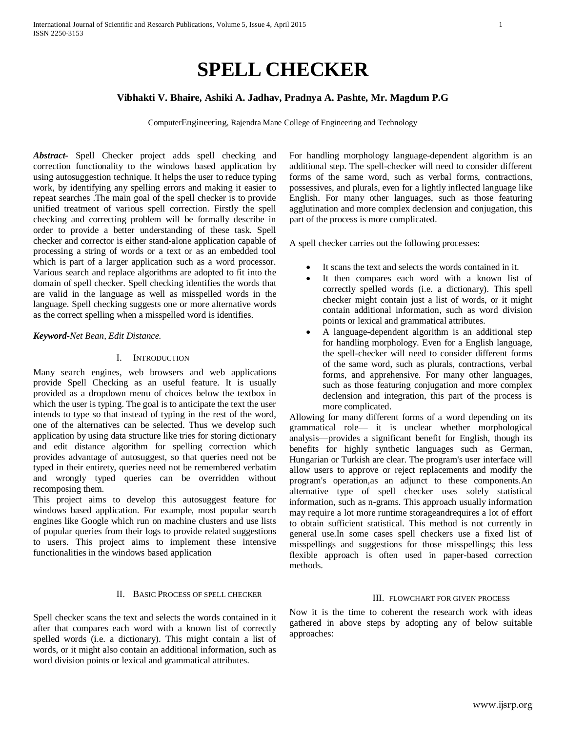# **SPELL CHECKER**

# **Vibhakti V. Bhaire, Ashiki A. Jadhav, Pradnya A. Pashte, Mr. Magdum P.G**

ComputerEngineering, Rajendra Mane College of Engineering and Technology

*Abstract-* Spell Checker project adds spell checking and correction functionality to the windows based application by using autosuggestion technique. It helps the user to reduce typing work, by identifying any spelling errors and making it easier to repeat searches .The main goal of the spell checker is to provide unified treatment of various spell correction. Firstly the spell checking and correcting problem will be formally describe in order to provide a better understanding of these task. Spell checker and corrector is either stand-alone application capable of processing a string of words or a text or as an embedded tool which is part of a larger application such as a word processor. Various search and replace algorithms are adopted to fit into the domain of spell checker. Spell checking identifies the words that are valid in the language as well as misspelled words in the language. Spell checking suggests one or more alternative words as the correct spelling when a misspelled word is identifies.

#### *Keyword-Net Bean, Edit Distance.*

## I. INTRODUCTION

Many search engines, web browsers and web applications provide Spell Checking as an useful feature. It is usually provided as a dropdown menu of choices below the textbox in which the user is typing. The goal is to anticipate the text the user intends to type so that instead of typing in the rest of the word, one of the alternatives can be selected. Thus we develop such application by using data structure like tries for storing dictionary and edit distance algorithm for spelling correction which provides advantage of autosuggest, so that queries need not be typed in their entirety, queries need not be remembered verbatim and wrongly typed queries can be overridden without recomposing them.

This project aims to develop this autosuggest feature for windows based application. For example, most popular search engines like Google which run on machine clusters and use lists of popular queries from their logs to provide related suggestions to users. This project aims to implement these intensive functionalities in the windows based application

## II. BASIC PROCESS OF SPELL CHECKER

Spell checker scans the text and selects the words contained in it after that compares each word with a known list of correctly spelled words (i.e. a dictionary). This might contain a list of words, or it might also contain an additional information, such as word division points or lexical and grammatical attributes.

For handling morphology language-dependent algorithm is an additional step. The spell-checker will need to consider different forms of the same word, such as verbal forms, contractions, possessives, and plurals, even for a lightly inflected language like English. For many other languages, such as those featuring agglutination and more complex declension and conjugation, this part of the process is more complicated.

A spell checker carries out the following processes:

- It scans the text and selects the words contained in it.
- It then compares each word with a known list of correctly spelled words (i.e. a dictionary). This spell checker might contain just a list of words, or it might contain additional information, such as word division points or lexical and grammatical attributes.
- A language-dependent algorithm is an additional step for handling morphology. Even for a English language, the spell-checker will need to consider different forms of the same word, such as plurals, contractions, verbal forms, and apprehensive. For many other languages, such as those featuring conjugation and more complex declension and integration, this part of the process is more complicated.

Allowing for many different forms of a word depending on its grammatical role— it is unclear whether morphological analysis—provides a significant benefit for English, though its benefits for highly [synthetic languages](http://en.wikipedia.org/wiki/Synthetic_language) such as German, Hungarian or Turkish are clear. The program's [user interface](http://en.wikipedia.org/wiki/User_interface) will allow users to approve or reject replacements and modify the program's operation,as an adjunct to these components.An alternative type of spell checker uses solely statistical information, such as [n-grams.](http://en.wikipedia.org/wiki/N-gram) This approach usually information may require a lot more runtime storageandrequires a lot of effort to obtain sufficient statistical. This method is not currently in general use.In some cases spell checkers use a fixed list of misspellings and suggestions for those misspellings; this less flexible approach is often used in paper-based correction methods.

#### III. FLOWCHART FOR GIVEN PROCESS

Now it is the time to coherent the research work with ideas gathered in above steps by adopting any of below suitable approaches: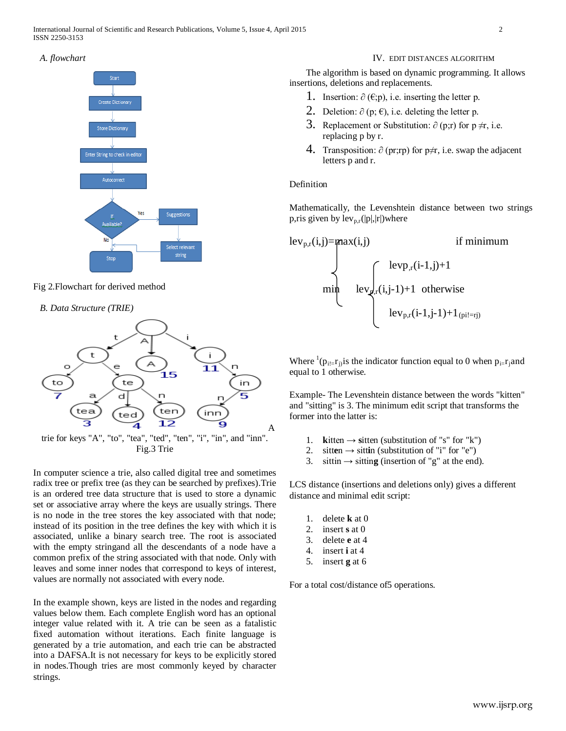# *A. flowchart*



# Fig 2.Flowchart for derived method

# *B. Data Structure (TRIE)*



In computer science a trie, also called digital tree and sometimes radix tree or prefix tree (as they can be searched by prefixes).Trie is an ordered tree data structure that is used to store a dynamic set or associative array where the keys are usually strings. There is no node in the tree stores the key associated with that node; instead of its position in the tree defines the key with which it is associated, unlike a binary search tree. The root is associated with the empty stringand all the descendants of a node have a common prefix of the string associated with that node. Only with leaves and some inner nodes that correspond to keys of interest, values are normally not associated with every node.

In the example shown, keys are listed in the nodes and regarding values below them. Each complete English word has an optional integer value related with it. A trie can be seen as a fatalistic fixed automation without iterations. Each finite language is generated by a trie automation, and each trie can be abstracted into a DAFSA.It is not necessary for keys to be explicitly stored in nodes.Though tries are most commonly keyed by character strings.

# IV. EDIT DISTANCES ALGORITHM

The algorithm is based on dynamic programming. It allows insertions, deletions and replacements.

- 1. Insertion:  $\partial$  (€;p), i.e. inserting the letter p.
- 2. Deletion:  $\partial$  (p;  $\epsilon$ ), i.e. deleting the letter p.
- 3. Replacement or Substitution:  $\partial$  (p;r) for p ≠r, i.e. replacing p by r.
- 4. Transposition:  $\partial$  (pr;rp) for p≠r, i.e. swap the adjacent letters p and r.

# Definition

Mathematically, the Levenshtein distance between two strings p,ris given by  $lev_{p,r}(|p|,|r|)$  where

$$
\begin{aligned}\n\text{lev}_{p,r}(i,j) &= \text{max}(i,j) & \text{if } \text{minimum} \\
& \text{lev}_{p,r}(i-1,j)+1 & \text{otherwise} \\
& \text{lev}_{p,r}(i,j-1)+1 & \text{otherwise} \\
& \text{lev}_{p,r}(i-1,j-1)+1_{(pi!=rj)}\n\end{aligned}
$$

Where  ${}^{1}(\mathbf{p}_{i} = \mathbf{r}_{j})$  is the indicator function equal to 0 when  $\mathbf{p}_{i} = \mathbf{r}_{j}$  and equal to 1 otherwise*.*

Example- The Levenshtein distance between the words "kitten" and "sitting" is 3. The minimum edit script that transforms the former into the latter is:

- 1. **kitten**  $\rightarrow$  **sitten** (substitution of "s" for "k")
- 2. sitten  $\rightarrow$  sittin (substitution of "i" for "e")
- 3. sittin  $\rightarrow$  sitting (insertion of "g" at the end).

LCS distance (insertions and deletions only) gives a different distance and minimal edit script:

- 1. delete **k** at 0
- 2. insert **s** at 0
- 3. delete **e** at 4
- 4. insert **i** at 4
- 5. insert **g** at 6

For a total cost/distance of5 operations.